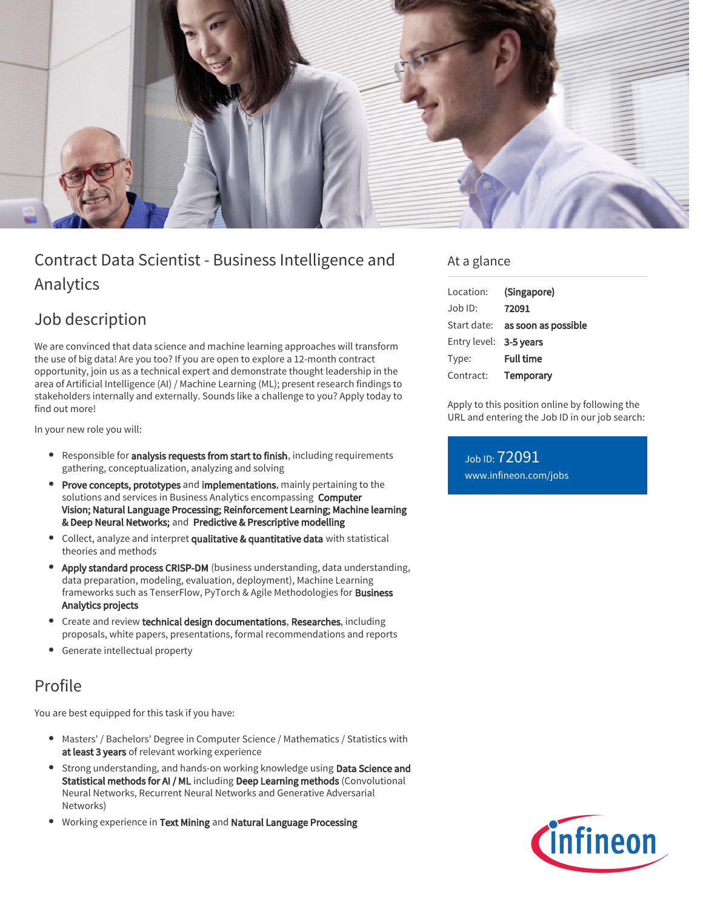

# Contract Data Scientist - Business Intelligence and Analytics

### Job description

We are convinced that data science and machine learning approaches will transform the use of big data! Are you too? If you are open to explore a 12-month contract opportunity, join us as a technical expert and demonstrate thought leadership in the area of Artificial Intelligence (AI) / Machine Learning (ML); present research findings to stakeholders internally and externally. Sounds like a challenge to you? Apply today to find out more!

In your new role you will:

- **•** Responsible for **analysis requests from start to finish**, including requirements gathering, conceptualization, analyzing and solving
- Prove concepts, prototypes and implementations, mainly pertaining to the solutions and services in Business Analytics encompassing Computer Vision; Natural Language Processing; Reinforcement Learning; Machine learning & Deep Neural Networks; and Predictive & Prescriptive modelling
- Collect, analyze and interpret qualitative & quantitative data with statistical theories and methods
- Apply standard process CRISP-DM (business understanding, data understanding, data preparation, modeling, evaluation, deployment), Machine Learning frameworks such as TenserFlow, PyTorch & Agile Methodologies for Business Analytics projects
- Create and review technical design documentations, Researches, including proposals, white papers, presentations, formal recommendations and reports
- Generate intellectual property

## Profile

You are best equipped for this task if you have:

- Masters' / Bachelors' Degree in Computer Science / Mathematics / Statistics with  $\bullet$ at least 3 years of relevant working experience
- **Strong understanding, and hands-on working knowledge using Data Science and** Statistical methods for AI / ML including Deep Learning methods (Convolutional Neural Networks, Recurrent Neural Networks and Generative Adversarial Networks)
- Working experience in Text Mining and Natural Language Processing

### At a glance

| Location:              | (Singapore)                            |
|------------------------|----------------------------------------|
| $Job$ ID:              | 72091                                  |
|                        | Start date: <b>as soon as possible</b> |
| Entry level: 3-5 years |                                        |
| Type:                  | <b>Full time</b>                       |
| Contract:              | Temporary                              |

Apply to this position online by following the URL and entering the Job ID in our job search:

Job ID: 72091 [www.infineon.com/jobs](https://www.infineon.com/jobs)